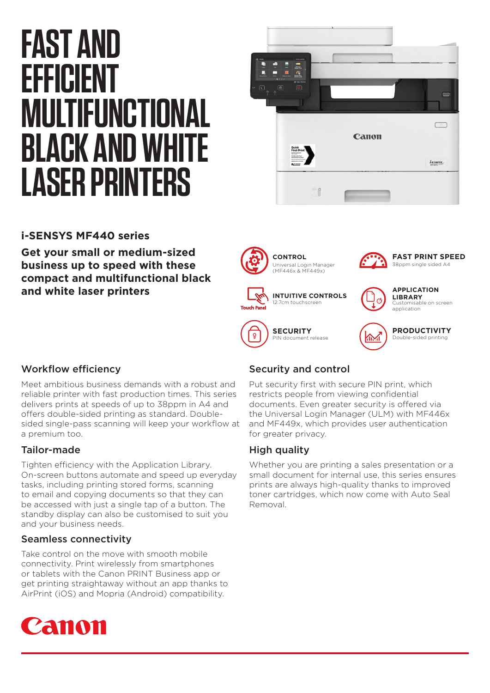# **FAST AND EFFICIENT MULTIFUNCTIONAL BLACK AND WHITE LASER PRINTERS**



# **i-SENSYS MF440 series**

**Get your small or medium-sized business up to speed with these compact and multifunctional black and white laser printers**



### Workflow efficiency

Meet ambitious business demands with a robust and reliable printer with fast production times. This series delivers prints at speeds of up to 38ppm in A4 and offers double-sided printing as standard. Doublesided single-pass scanning will keep your workflow at a premium too.

# Tailor-made

Tighten efficiency with the Application Library. On-screen buttons automate and speed up everyday tasks, including printing stored forms, scanning to email and copying documents so that they can be accessed with just a single tap of a button. The standby display can also be customised to suit you and your business needs.

### Seamless connectivity

Take control on the move with smooth mobile connectivity. Print wirelessly from smartphones or tablets with the Canon PRINT Business app or get printing straightaway without an app thanks to AirPrint (iOS) and Mopria (Android) compatibility.



# Security and control

Put security first with secure PIN print, which restricts people from viewing confidential documents. Even greater security is offered via the Universal Login Manager (ULM) with MF446x and MF449x, which provides user authentication for greater privacy.

# High quality

Whether you are printing a sales presentation or a small document for internal use, this series ensures prints are always high-quality thanks to improved toner cartridges, which now come with Auto Seal Removal.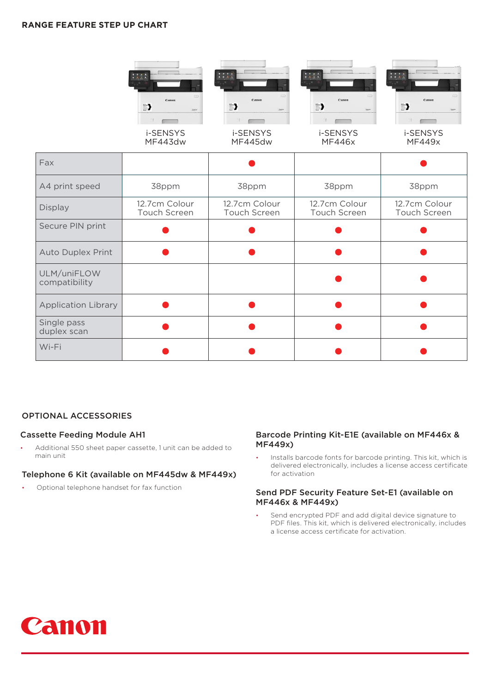#### **RANGE FEATURE STEP UP CHART**

|                              | Canon<br>$\Rightarrow$<br>i-SENSYS<br>MF443dw | Canon<br>$\Rightarrow$<br>i-SENSYS<br>MF445dw | Canon<br>$\Rightarrow$<br>i-SENSYS<br><b>MF446x</b> | Санон<br>$\Rightarrow$<br>i-SENSYS<br><b>MF449x</b> |
|------------------------------|-----------------------------------------------|-----------------------------------------------|-----------------------------------------------------|-----------------------------------------------------|
| Fax                          |                                               |                                               |                                                     |                                                     |
| A4 print speed               | 38ppm                                         | 38ppm                                         | 38ppm                                               | 38ppm                                               |
| Display                      | 12.7cm Colour<br>Touch Screen                 | 12.7cm Colour<br>Touch Screen                 | 12.7cm Colour<br>Touch Screen                       | 12.7cm Colour<br>Touch Screen                       |
| Secure PIN print             |                                               |                                               |                                                     |                                                     |
| <b>Auto Duplex Print</b>     |                                               |                                               |                                                     |                                                     |
| ULM/uniFLOW<br>compatibility |                                               |                                               |                                                     |                                                     |
| <b>Application Library</b>   |                                               |                                               |                                                     |                                                     |
| Single pass<br>duplex scan   |                                               |                                               |                                                     |                                                     |
| Wi-Fi                        |                                               |                                               |                                                     |                                                     |

#### OPTIONAL ACCESSORIES

#### Cassette Feeding Module AH1

• Additional 550 sheet paper cassette, 1 unit can be added to main unit

#### Telephone 6 Kit (available on MF445dw & MF449x)

• Optional telephone handset for fax function

#### Barcode Printing Kit-E1E (available on MF446x & MF449x)

• Installs barcode fonts for barcode printing. This kit, which is delivered electronically, includes a license access certificate for activation

#### Send PDF Security Feature Set-E1 (available on MF446x & MF449x)

Send encrypted PDF and add digital device signature to PDF files. This kit, which is delivered electronically, includes a license access certificate for activation.

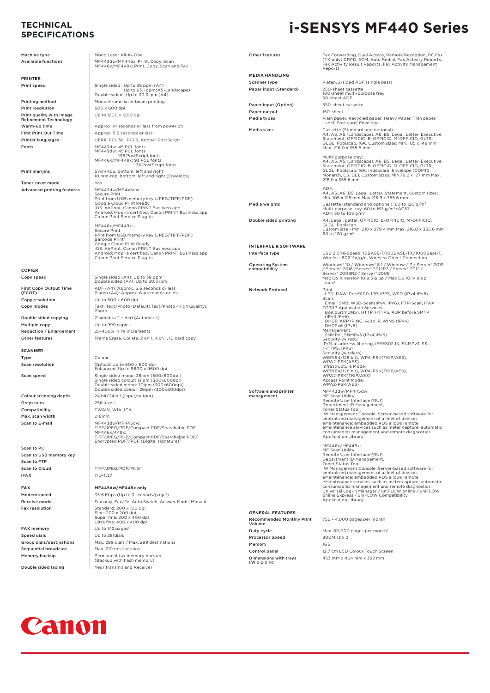# **SPECIFICATIONS**

Machine type

# **i-SENSYS MF440 Series TECHNICAL**

| Machine type                                             | Mono Laser All-In-One                                                                                                       | Other features                         | Fax Forwarding, Dual Access, Remote Reception, PC Fax                                                                                                   |
|----------------------------------------------------------|-----------------------------------------------------------------------------------------------------------------------------|----------------------------------------|---------------------------------------------------------------------------------------------------------------------------------------------------------|
| <b>Available functions</b>                               | MF443dw/MF446x: Print, Copy, Scan<br>MF446x/MF449x: Print, Copy, Scan and Fax                                               |                                        | (TX only) DRPD, ECM, Auto Redial, Fax Activity Reports,<br>Fax Activity Result Reports, Fax Activity Management<br>Reports                              |
|                                                          |                                                                                                                             | <b>MEDIA HANDLING</b>                  |                                                                                                                                                         |
| <b>PRINTER</b>                                           |                                                                                                                             | Scanner type                           | Platen, 2-sided ADF (single pass)                                                                                                                       |
| Print speed                                              | Single sided: Up to 38 ppm (A4)<br>Up to 63.1 ppm(A5-Landscape)<br>Double sided: Up to 30.3 ipm (A4)                        | Paper input (Standard)                 | 250-sheet cassette<br>100-sheet multi-purpose tray<br>50-sheet ADF                                                                                      |
| Printing method                                          | Monochrome laser beam printing                                                                                              | Paper input (Option)                   | 550-sheet cassette                                                                                                                                      |
| Print resolution                                         | 600 x 600 dpi                                                                                                               | Paper output                           | 150-sheet                                                                                                                                               |
| Print quality with Image<br><b>Refinement Technology</b> | Up to 1200 x 1200 dpi                                                                                                       | Media types                            | Plain paper, Recycled paper, Heavy Paper, Thin paper,<br>Label, Post card, Envelope                                                                     |
| Warm-up time                                             | Approx. 14 seconds or less from power on                                                                                    | Media sizes                            | Cassette (Standard and optional):                                                                                                                       |
| <b>First Print Out Time</b>                              | Approx: 5.5 seconds or less                                                                                                 |                                        | A4, A5, A5 (Landscape), A6, B5, Legal, Letter, Executive,<br>Statement, OFFICIO, B-OFFICIO, M-OFFICIO, GLTR,                                            |
| <b>Printer languages</b>                                 | UFRII, PCL 5c <sup>1</sup> , PCL6, Adobe* PostScript                                                                        |                                        | GLGL, Foolscap, 16K, Custom sizes: Min. 105 x 148 mm                                                                                                    |
| Fonts                                                    | MF443dw: 45 PCL fonts<br>MF445dw: 45 PCL fonts<br>136 PostScript fonts                                                      |                                        | Max. 216.0 x 355.6 mm.<br>Multi-purpose tray:                                                                                                           |
|                                                          | MF446x/MF449x: 93 PCL fonts<br>136 PostScript fonts                                                                         |                                        | A4, A5, A5 (Landscape), A6, B5, Legal, Letter, Executive,<br>Statement, OFFICIO, B-OFFICIO, M-OFFICIO, GLTR,                                            |
| <b>Print margins</b>                                     | 5 mm-top, bottom, left and right                                                                                            |                                        | GLGL, Foolscap, 16K, Indexcard, Envelope (COM10,                                                                                                        |
|                                                          | 10 mm-top, bottom, left and right (Envelope)                                                                                |                                        | Monarch, C5, DL), Custom sizes: Min 76.2 x 127 mm Max.<br>216.0 x 355.6 mm.                                                                             |
| Toner saver mode                                         | Yes                                                                                                                         |                                        | ADE:                                                                                                                                                    |
| <b>Advanced printing features</b>                        | MF443dw/MF445dw:<br>Secure Print                                                                                            |                                        | A4, A5, A6, B5, Legal, Letter, Statement, Custom sizes:                                                                                                 |
|                                                          | Print from USB memory key (JPEG/TIFF/PDF)                                                                                   |                                        | Min. 105 x 128 mm Max 215.9 x 355.6 mm                                                                                                                  |
|                                                          | Google Cloud Print Ready<br>iOS: AirPrint, Canon PRINT Business app<br>Android; Mopria certified, Canon PRINT Business app, | Media weights                          | Cassette (standard and optional): 60 to 120 g/m <sup>2</sup><br>Multi-purpose tray: 60 to 163 g/m <sup>2</sup> +AC57<br>ADF: 50 to 105 g/m <sup>2</sup> |
|                                                          | Canon Print Service Plug-in                                                                                                 | Double sided printing                  | A4, Legal, Letter, OFFICIO, B-OFFICIO, M-OFFICIO,                                                                                                       |
|                                                          | MF446x/MF449x:<br>Secure Print<br>Print from USB memory key (JPEG/TIFF/PDF)                                                 |                                        | GLGL, Foolscap<br>Custom size - Min. 210 x 279.4 mm Max. 216.0 x 355.6 mm<br>60 to 120 g/m <sup>2</sup>                                                 |
|                                                          | Barcode Print <sup>2</sup><br>Google Cloud Print Ready                                                                      |                                        |                                                                                                                                                         |
|                                                          | iOS: AirPrint, Canon PRINT Business app                                                                                     | <b>INTERFACE &amp; SOFTWARE</b>        |                                                                                                                                                         |
|                                                          | Android; Mopria certified, Canon PRINT Business app,<br>Canon Print Service Plug-in                                         | Interface type                         | USB 2.0 Hi-Speed, 10BASE-T/100BASE-TX/1000Base-T,<br>Wireless 802.11b/g/n, Wireless Direct Connection                                                   |
|                                                          |                                                                                                                             | <b>Operating System</b>                | Windows*10 / Windows* 8.1 / Windows* 7 / Server* 2019                                                                                                   |
| <b>COPIER</b>                                            |                                                                                                                             | compatibility                          | / Server* 2016 / Server* 2012R2 / Server* 2012 /                                                                                                        |
| Copy speed                                               | Single sided (A4): Up to 38 ppm                                                                                             |                                        | Server* 2008R2 / Server* 2008<br>Mac OS X version 10.9.5 & up / Mac OS 10.14 & up                                                                       |
|                                                          | Double sided (A4): Up to 30.3 ipm                                                                                           |                                        | Linux <sup>6</sup>                                                                                                                                      |
| <b>First Copy Output Time</b><br>(FCOT)                  | ADF (A4): Approx. 6.6 seconds or less<br>Platen (A4): Approx. 6.4 seconds or less                                           | <b>Network Protocol</b>                | Print:<br>LPD, RAW, Port9100, IPP, IPPS, WSD (IPv4, IPv6)                                                                                               |
| Copy resolution                                          | Up to 600 x 600 dpi                                                                                                         |                                        | Scan:                                                                                                                                                   |
| Copy modes                                               | Text, Text/Photo (Default), Text/Photo (High Quality),                                                                      |                                        | Email, SMB, WSD-Scan(IPv4, IPv6), FTP-Scan, iFAX<br>TCP/IP Application Services:                                                                        |
|                                                          | Photo                                                                                                                       |                                        | Bonjour(mDNS), HTTP, HTTPS, POP before SMTP                                                                                                             |
| Double sided copying                                     | 2-sided to 2-sided (Automatic)                                                                                              |                                        | (IPv4,IPv6)<br>DHCP, ARP+PING, Auto IP, WINS (IPv4)                                                                                                     |
| Multiple copy                                            | Up to 999 copies                                                                                                            |                                        | DHCPv6 (IPv6)<br>Management:                                                                                                                            |
| <b>Reduction / Enlargement</b>                           | 25-400% in 1% increments                                                                                                    |                                        | SNMPv1, SNMPv3 (IPv4,IPv6)                                                                                                                              |
| Other features                                           | Frame Erase, Collate, 2 on 1, 4 on 1, ID card copy                                                                          |                                        | Security (wired):<br>IP/Mac address filtering, IEEE802.1X, SNMPv3, SSL<br>(HTTPS, IPPS)                                                                 |
| <b>SCANNER</b>                                           |                                                                                                                             |                                        | Security (wireless):                                                                                                                                    |
| Type                                                     | Colour                                                                                                                      |                                        | WEP(64/128 bit), WPA-PSK(TKIP/AES),<br>WPA2-PSK(AES)                                                                                                    |
| Scan resolution                                          | Optical: Up to 600 x 600 dpi<br>Enhanced: Up to 9600 x 9600 dpi                                                             |                                        | Infrastructure Mode:<br>WEP(64/128 bit), WPA-PSK(TKIP/AES),                                                                                             |
| Scan speed                                               | Single sided mono: 38ipm (300x600dpi)                                                                                       |                                        | WPA2-PSK(TKIP/AES)                                                                                                                                      |
|                                                          | Single sided colour: 13ipm (300x600dpi)<br>Double sided mono: 70ipm (300x600dpi)                                            |                                        | Access Point Mode:<br>WPA2-PSK(AES)                                                                                                                     |
|                                                          | Double sided colour: 26ipm (300x600dpi)                                                                                     | Software and printer                   | MF443dw/MF445dw:                                                                                                                                        |
| Colour scanning depth                                    | 24 bit/24 bit (input/output)                                                                                                | management                             | MF Scan Utility,                                                                                                                                        |
| Greyscales                                               | 256 levels                                                                                                                  |                                        | Remote User Interface (RUI),<br>Department ID Management,                                                                                               |
| Compatibility                                            | TWAIN, WIA, ICA                                                                                                             |                                        | Toner Status Tool,<br>iW Management Console: Server-based software for                                                                                  |
| Max. scan width                                          | 216mm                                                                                                                       |                                        | centralised management of a fleet of devices                                                                                                            |
| Scan to E-mail                                           | MF443dw/MF445dw:<br>TIFF/JPEG/PDF/Compact PDF/Searchable PDF                                                                |                                        | eMaintenance: embedded RDS allows remote<br>eMaintenance services such as meter capture, automatic                                                      |
|                                                          | MF446x/449x:                                                                                                                |                                        | consumables management and remote diagnostics                                                                                                           |
|                                                          | TIFF/JPEG/PDF/Compact PDF/Searchable PDF/<br>Encrypted PDF <sup>3</sup> /PDF (Digital signature) <sup>3</sup>               |                                        | <b>Application Library</b>                                                                                                                              |
| Scan to PC                                               |                                                                                                                             |                                        | MF446x/MF449x:                                                                                                                                          |
| Scan to USB memory key                                   |                                                                                                                             |                                        | MF Scan Utility,<br>Remote User Interface (RUI),                                                                                                        |
| Scan to FTP                                              |                                                                                                                             |                                        | Department ID Management,<br>Toner Status Tool,                                                                                                         |
| <b>Scan to Cloud</b>                                     | TIFF/JPEG/PDF/PNG <sup>4</sup>                                                                                              |                                        | iW Management Console: Server-based software for                                                                                                        |
| iFAX                                                     | <b>ITU-T.37</b>                                                                                                             |                                        | centralised management of a fleet of devices<br>eMaintenance: embedded RDS allows remote                                                                |
|                                                          |                                                                                                                             |                                        | eMaintenance services such as meter capture, automatic                                                                                                  |
| <b>FAX</b>                                               | MF445dw/MF449x only                                                                                                         |                                        | consumables management and remote diagnostics.<br>Universal Log-in Manager / uniFLOW online / uniFLOW                                                   |
| Modem speed                                              | 33.6 Kbps (Up to 3 seconds/page <sup>5</sup> )                                                                              |                                        | online Express / uniFLOW Compatibility<br><b>Application Library</b>                                                                                    |
| Receive mode                                             | Fax only, Fax/Tel Auto Switch, Answer Mode, Manual                                                                          |                                        |                                                                                                                                                         |
| <b>Fax resolution</b>                                    | Standard: 200 x 100 dpi<br>Fine: 200 x 200 dpi                                                                              | <b>GENERAL FEATURES</b>                |                                                                                                                                                         |
|                                                          | Super fine: 200 x 400 dpi<br>Ultra fine: 400 x 400 dpi                                                                      | <b>Recommended Monthly Print</b>       | 750 - 4,000 pages per month                                                                                                                             |
| <b>FAX memory</b>                                        | Up to 512 pages <sup>5</sup>                                                                                                | Volume                                 |                                                                                                                                                         |
| <b>Speed dials</b>                                       | Up to 281dials                                                                                                              | Duty cycle                             | Max. 80,000 pages per month?                                                                                                                            |
| Group dials/destinations                                 | Max. 299 dials / Max. 299 destinations                                                                                      | <b>Processor Speed</b>                 | 800MHz x 2                                                                                                                                              |
| <b>Sequential broadcast</b>                              | Max. 310 destinations                                                                                                       | Memory                                 | 1GB                                                                                                                                                     |
| Memory backup                                            | Permanent fax memory backup                                                                                                 | Control panel<br>Dimensions with trays | 12.7 cm LCD Colour Touch Screen<br>453 mm x 464 mm x 392 mm                                                                                             |
|                                                          | (Backup with flash memory)                                                                                                  | $(W \times D \times H)$                |                                                                                                                                                         |

Memory backup Double sided faxing <br>Yes (Transmit and Receive)

Canon

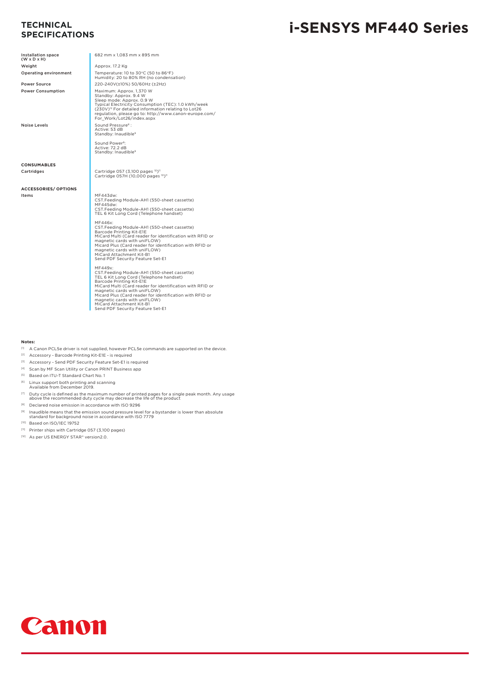# **SPECIFICATIONS**

# **i-SENSYS MF440 Series TECHNICAL**

| Installation space<br>$(W \times D \times H)$ | 682 mm x 1.083 mm x 895 mm                                                                                                                                                                                                                                                                                                                                                             |
|-----------------------------------------------|----------------------------------------------------------------------------------------------------------------------------------------------------------------------------------------------------------------------------------------------------------------------------------------------------------------------------------------------------------------------------------------|
| Weight                                        | Approx. 17.2 Kg                                                                                                                                                                                                                                                                                                                                                                        |
| Operating environment                         | Temperature: 10 to 30°C (50 to 86°F)<br>Humidity: 20 to 80% RH (no condensation)                                                                                                                                                                                                                                                                                                       |
| <b>Power Source</b>                           | 220-240V(±10%) 50/60Hz (±2Hz)                                                                                                                                                                                                                                                                                                                                                          |
| <b>Power Consumption</b>                      | Maximum: Approx. 1,370 W<br>Standby: Approx. 9.4 W<br>Sleep mode: Approx, 0.9 W<br>Typical Electricity Consumption (TEC): 1.0 kWh/week<br>(230V) <sup>12</sup> For detailed information relating to Lot26<br>regulation, please go to: http://www.canon-europe.com/<br>For Work/Lot26/index.aspx                                                                                       |
| <b>Noise Levels</b>                           | Sound Pressure <sup>8</sup> :<br>Active: 53 dB<br>Standby: Inaudible <sup>9</sup>                                                                                                                                                                                                                                                                                                      |
|                                               | Sound Power <sup>8</sup> :<br>Active: 72.2 dB<br>Standby: Inaudible <sup>9</sup>                                                                                                                                                                                                                                                                                                       |
| <b>CONSUMABLES</b>                            |                                                                                                                                                                                                                                                                                                                                                                                        |
| Cartridges                                    | Cartridge 057 (3,100 pages 10)11<br>Cartridge 057H (10,000 pages 10)11                                                                                                                                                                                                                                                                                                                 |
| <b>ACCESSORIES/ OPTIONS</b>                   |                                                                                                                                                                                                                                                                                                                                                                                        |
| Items                                         | MF443dw:<br>CST.Feeding Module-AH1 (550-sheet cassette)<br>MF445dw:<br>CST.Feeding Module-AH1 (550-sheet cassette)<br>TEL 6 Kit Long Cord (Telephone handset)                                                                                                                                                                                                                          |
|                                               | MF446x:<br>CST.Feeding Module-AH1 (550-sheet cassette)<br>Barcode Printing Kit-E1E<br>MiCard Multi (Card reader for identification with RFID or<br>magnetic cards with uniFLOW)<br>Micard Plus (Card reader for identification with RFID or<br>magnetic cards with uniFLOW)<br>MiCard Attachment Kit-B1<br>Send PDF Security Feature Set-E1                                            |
|                                               | MF449x:<br>CST.Feeding Module-AH1 (550-sheet cassette)<br>TEL 6 Kit Long Cord (Telephone handset)<br>Barcode Printing Kit-E1E<br>MiCard Multi (Card reader for identification with RFID or<br>magnetic cards with uniFLOW)<br>Micard Plus (Card reader for identification with RFID or<br>magnetic cards with uniFLOW)<br>MiCard Attachment Kit-B1<br>Send PDF Security Feature Set-E1 |

#### **Notes:**

- [1] A Canon PCL5e driver is not supplied, however PCL5e commands are supported on the device.
- [2] Accessory Barcode Printing Kit-E1E is required
- [3] Accessory Send PDF Security Feature Set-E1 is required
- [4] Scan by MF Scan Utility or Canon PRINT Business app
- [5] Based on ITU-T Standard Chart No. 1
- 
- [6] Linux support both printing and scanning Available from December 2019.
- $^{(7)}$  Duty cycle is defined as the maximum number of printed pages for a single peak month. Any usage above the recommended duty cycle may decrease the life of the product
- [8] Declared noise emission in accordance with ISO 9296
- $^{(9)}$  Inaudible means that the emission sound pressure level for a bystander is lower than absolute standard for background noise in accordance with ISO 7779
- 
- [10] Based on ISO/IEC 19752
- [11] Printer ships with Cartridge 057 (3,100 pages)
- [12] As per US ENERGY STAR® version2.0.

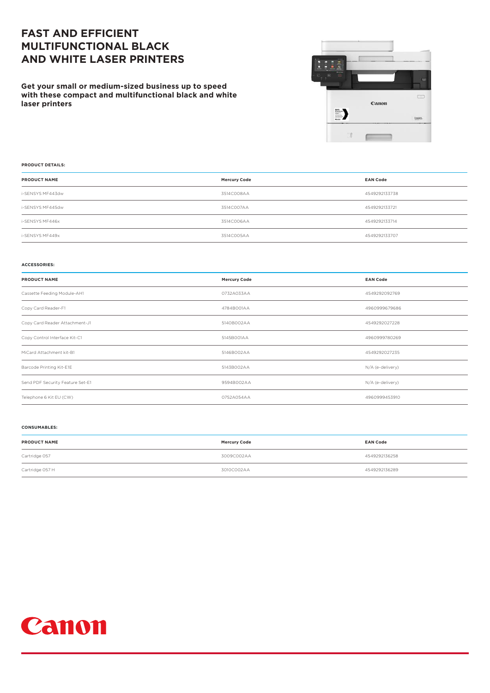## **FAST AND EFFICIENT MULTIFUNCTIONAL BLACK AND WHITE LASER PRINTERS**

**Get your small or medium-sized business up to speed with these compact and multifunctional black and white laser printers**



#### **PRODUCT DETAILS:**

| <b>PRODUCT NAME</b> | <b>Mercury Code</b> | <b>EAN Code</b> |
|---------------------|---------------------|-----------------|
| i-SENSYS MF443dw    | 3514C008AA          | 4549292133738   |
| i-SENSYS MF445dw    | 3514CO07AA          | 4549292133721   |
| i-SENSYS MF446x     | 3514C006AA          | 4549292133714   |
| i-SENSYS MF449x     | 3514C005AA          | 4549292133707   |

#### **ACCESSORIES:**

| <b>PRODUCT NAME</b>              | <b>Mercury Code</b> | <b>EAN Code</b>  |
|----------------------------------|---------------------|------------------|
| Cassette Feeding Module-AH1      | 0732A033AA          | 4549292092769    |
| Copy Card Reader-F1              | 4784B001AA          | 4960999679686    |
| Copy Card Reader Attachment-J1   | 5140B002AA          | 4549292027228    |
| Copy Control Interface Kit-C1    | 5145B001AA          | 4960999780269    |
| MiCard Attachment kit-B1         | 5146B002AA          | 4549292027235    |
| Barcode Printing Kit-E1E         | 5143B002AA          | N/A (e-delivery) |
| Send PDF Security Feature Set-E1 | 9594B002AA          | N/A (e-delivery) |
| Telephone 6 Kit EU (CW)          | 0752A054AA          | 4960999453910    |

#### **CONSUMABLES:**

| <b>PRODUCT NAME</b> | <b>Mercury Code</b> | <b>EAN Code</b> |
|---------------------|---------------------|-----------------|
| Cartridge 057       | 3009C002AA          | 4549292136258   |
| Cartridge 057 H     | 3010C002AA          | 4549292136289   |